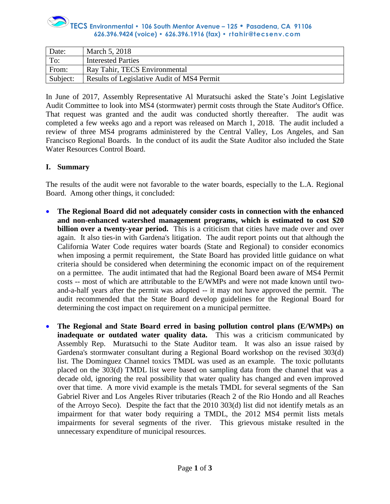# **TECS Environmental • 106 South Mentor Avenue – 125 • Pasadena, CA 91106 626.396.9424 (voice) • 626.396.1916 (fax) • rtahir@tecsenv.com**

| Date:    | March 5, 2018                              |
|----------|--------------------------------------------|
| To:      | <b>Interested Parties</b>                  |
| From:    | Ray Tahir, TECS Environmental              |
| Subject: | Results of Legislative Audit of MS4 Permit |

In June of 2017, Assembly Representative Al Muratsuchi asked the State's Joint Legislative Audit Committee to look into MS4 (stormwater) permit costs through the State Auditor's Office. That request was granted and the audit was conducted shortly thereafter. The audit was completed a few weeks ago and a report was released on March 1, 2018. The audit included a review of three MS4 programs administered by the Central Valley, Los Angeles, and San Francisco Regional Boards. In the conduct of its audit the State Auditor also included the State Water Resources Control Board.

#### **I. Summary**

The results of the audit were not favorable to the water boards, especially to the L.A. Regional Board. Among other things, it concluded:

- **The Regional Board did not adequately consider costs in connection with the enhanced and non-enhanced watershed management programs, which is estimated to cost \$20 billion over a twenty-year period.** This is a criticism that cities have made over and over again. It also ties-in with Gardena's litigation. The audit report points out that although the California Water Code requires water boards (State and Regional) to consider economics when imposing a permit requirement, the State Board has provided little guidance on what criteria should be considered when determining the economic impact on of the requirement on a permittee. The audit intimated that had the Regional Board been aware of MS4 Permit costs -- most of which are attributable to the E/WMPs and were not made known until twoand-a-half years after the permit was adopted -- it may not have approved the permit. The audit recommended that the State Board develop guidelines for the Regional Board for determining the cost impact on requirement on a municipal permittee.
- **The Regional and State Board erred in basing pollution control plans (E/WMPs) on inadequate or outdated water quality data.** This was a criticism communicated by Assembly Rep. Muratsuchi to the State Auditor team. It was also an issue raised by Gardena's stormwater consultant during a Regional Board workshop on the revised 303(d) list. The Dominguez Channel toxics TMDL was used as an example. The toxic pollutants placed on the 303(d) TMDL list were based on sampling data from the channel that was a decade old, ignoring the real possibility that water quality has changed and even improved over that time. A more vivid example is the metals TMDL for several segments of the San Gabriel River and Los Angeles River tributaries (Reach 2 of the Rio Hondo and all Reaches of the Arroyo Seco). Despite the fact that the 2010 303(d) list did not identify metals as an impairment for that water body requiring a TMDL, the 2012 MS4 permit lists metals impairments for several segments of the river. This grievous mistake resulted in the unnecessary expenditure of municipal resources.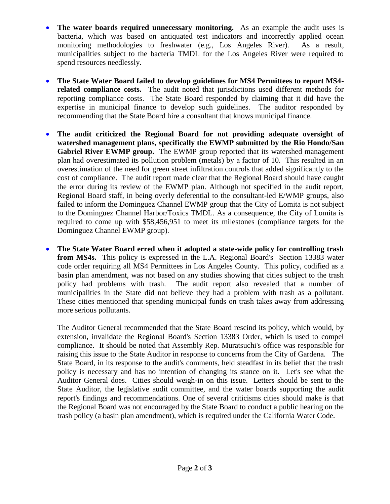- The water boards required unnecessary monitoring. As an example the audit uses is bacteria, which was based on antiquated test indicators and incorrectly applied ocean monitoring methodologies to freshwater (e.g., Los Angeles River). As a result, municipalities subject to the bacteria TMDL for the Los Angeles River were required to spend resources needlessly.
- **The State Water Board failed to develop guidelines for MS4 Permittees to report MS4 related compliance costs.** The audit noted that jurisdictions used different methods for reporting compliance costs. The State Board responded by claiming that it did have the expertise in municipal finance to develop such guidelines. The auditor responded by recommending that the State Board hire a consultant that knows municipal finance.
- **The audit criticized the Regional Board for not providing adequate oversight of watershed management plans, specifically the EWMP submitted by the Rio Hondo/San Gabriel River EWMP group.** The EWMP group reported that its watershed management plan had overestimated its pollution problem (metals) by a factor of 10. This resulted in an overestimation of the need for green street infiltration controls that added significantly to the cost of compliance. The audit report made clear that the Regional Board should have caught the error during its review of the EWMP plan. Although not specified in the audit report, Regional Board staff, in being overly deferential to the consultant-led E/WMP groups, also failed to inform the Dominguez Channel EWMP group that the City of Lomita is not subject to the Dominguez Channel Harbor/Toxics TMDL. As a consequence, the City of Lomita is required to come up with \$58,456,951 to meet its milestones (compliance targets for the Dominguez Channel EWMP group).
- **The State Water Board erred when it adopted a state-wide policy for controlling trash from MS4s.** This policy is expressed in the L.A. Regional Board's Section 13383 water code order requiring all MS4 Permittees in Los Angeles County. This policy, codified as a basin plan amendment, was not based on any studies showing that cities subject to the trash policy had problems with trash. The audit report also revealed that a number of municipalities in the State did not believe they had a problem with trash as a pollutant. These cities mentioned that spending municipal funds on trash takes away from addressing more serious pollutants.

The Auditor General recommended that the State Board rescind its policy, which would, by extension, invalidate the Regional Board's Section 13383 Order, which is used to compel compliance. It should be noted that Assembly Rep. Muratsuchi's office was responsible for raising this issue to the State Auditor in response to concerns from the City of Gardena. The State Board, in its response to the audit's comments, held steadfast in its belief that the trash policy is necessary and has no intention of changing its stance on it. Let's see what the Auditor General does. Cities should weigh-in on this issue. Letters should be sent to the State Auditor, the legislative audit committee, and the water boards supporting the audit report's findings and recommendations. One of several criticisms cities should make is that the Regional Board was not encouraged by the State Board to conduct a public hearing on the trash policy (a basin plan amendment), which is required under the California Water Code.